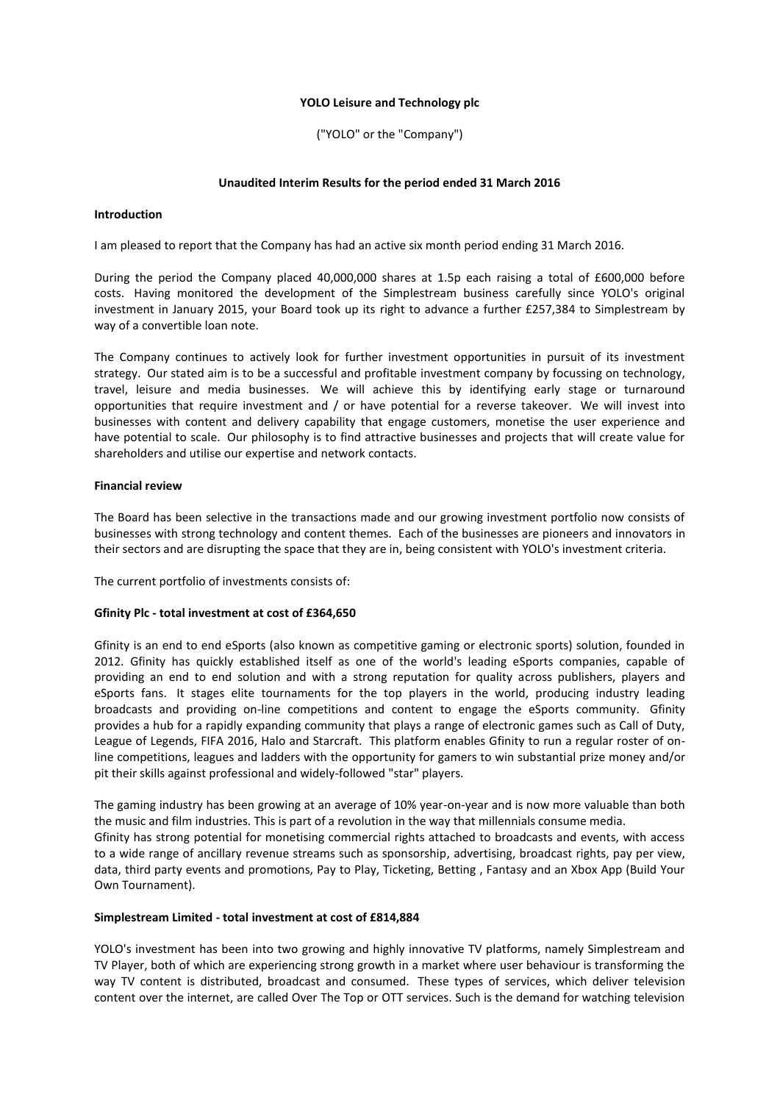### **YOLO Leisure and Technology plc**

("YOLO" or the "Company")

#### **Unaudited Interim Results for the period ended 31 March 2016**

### **Introduction**

I am pleased to report that the Company has had an active six month period ending 31 March 2016.

During the period the Company placed 40,000,000 shares at 1.5p each raising a total of £600,000 before costs. Having monitored the development of the Simplestream business carefully since YOLO's original investment in January 2015, your Board took up its right to advance a further £257,384 to Simplestream by way of a convertible loan note.

The Company continues to actively look for further investment opportunities in pursuit of its investment strategy. Our stated aim is to be a successful and profitable investment company by focussing on technology, travel, leisure and media businesses. We will achieve this by identifying early stage or turnaround opportunities that require investment and / or have potential for a reverse takeover. We will invest into businesses with content and delivery capability that engage customers, monetise the user experience and have potential to scale. Our philosophy is to find attractive businesses and projects that will create value for shareholders and utilise our expertise and network contacts.

### **Financial review**

The Board has been selective in the transactions made and our growing investment portfolio now consists of businesses with strong technology and content themes. Each of the businesses are pioneers and innovators in their sectors and are disrupting the space that they are in, being consistent with YOLO's investment criteria.

The current portfolio of investments consists of:

### **Gfinity Plc - total investment at cost of £364,650**

Gfinity is an end to end eSports (also known as competitive gaming or electronic sports) solution, founded in 2012. Gfinity has quickly established itself as one of the world's leading eSports companies, capable of providing an end to end solution and with a strong reputation for quality across publishers, players and eSports fans. It stages elite tournaments for the top players in the world, producing industry leading broadcasts and providing on-line competitions and content to engage the eSports community. Gfinity provides a hub for a rapidly expanding community that plays a range of electronic games such as Call of Duty, League of Legends, FIFA 2016, Halo and Starcraft. This platform enables Gfinity to run a regular roster of online competitions, leagues and ladders with the opportunity for gamers to win substantial prize money and/or pit their skills against professional and widely-followed "star" players.

The gaming industry has been growing at an average of 10% year-on-year and is now more valuable than both the music and film industries. This is part of a revolution in the way that millennials consume media. Gfinity has strong potential for monetising commercial rights attached to broadcasts and events, with access to a wide range of ancillary revenue streams such as sponsorship, advertising, broadcast rights, pay per view, data, third party events and promotions, Pay to Play, Ticketing, Betting , Fantasy and an Xbox App (Build Your Own Tournament).

#### **Simplestream Limited - total investment at cost of £814,884**

YOLO's investment has been into two growing and highly innovative TV platforms, namely Simplestream and TV Player, both of which are experiencing strong growth in a market where user behaviour is transforming the way TV content is distributed, broadcast and consumed. These types of services, which deliver television content over the internet, are called Over The Top or OTT services. Such is the demand for watching television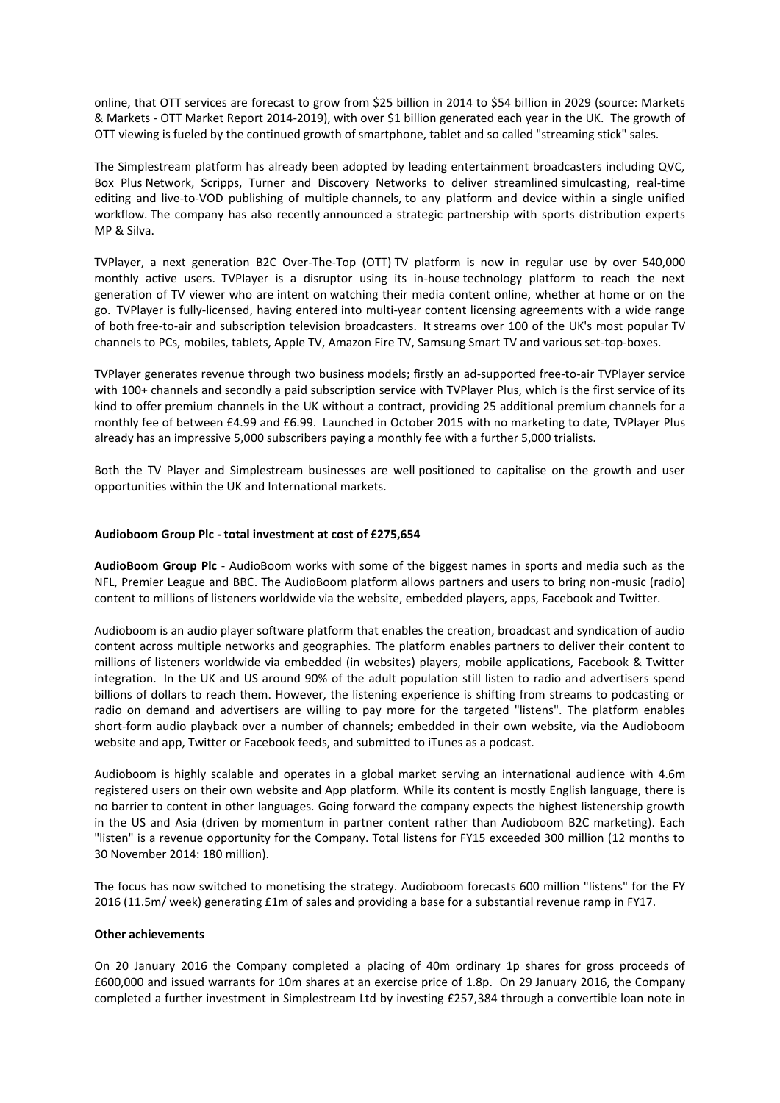online, that OTT services are forecast to grow from \$25 billion in 2014 to \$54 billion in 2029 (source: Markets & Markets - OTT Market Report 2014-2019), with over \$1 billion generated each year in the UK. The growth of OTT viewing is fueled by the continued growth of smartphone, tablet and so called "streaming stick" sales.

The Simplestream platform has already been adopted by leading entertainment broadcasters including QVC, Box Plus Network, Scripps, Turner and Discovery Networks to deliver streamlined simulcasting, real-time editing and live-to-VOD publishing of multiple channels, to any platform and device within a single unified workflow. The company has also recently announced a strategic partnership with sports distribution experts MP & Silva.

TVPlayer, a next generation B2C Over-The-Top (OTT) TV platform is now in regular use by over 540,000 monthly active users. TVPlayer is a disruptor using its in-house technology platform to reach the next generation of TV viewer who are intent on watching their media content online, whether at home or on the go. TVPlayer is fully-licensed, having entered into multi-year content licensing agreements with a wide range of both free-to-air and subscription television broadcasters. It streams over 100 of the UK's most popular TV channels to PCs, mobiles, tablets, Apple TV, Amazon Fire TV, Samsung Smart TV and various set-top-boxes.

TVPlayer generates revenue through two business models; firstly an ad-supported free-to-air TVPlayer service with 100+ channels and secondly a paid subscription service with TVPlayer Plus, which is the first service of its kind to offer premium channels in the UK without a contract, providing 25 additional premium channels for a monthly fee of between £4.99 and £6.99. Launched in October 2015 with no marketing to date, TVPlayer Plus already has an impressive 5,000 subscribers paying a monthly fee with a further 5,000 trialists.

Both the TV Player and Simplestream businesses are well positioned to capitalise on the growth and user opportunities within the UK and International markets.

### **Audioboom Group Plc - total investment at cost of £275,654**

**AudioBoom Group Plc** - AudioBoom works with some of the biggest names in sports and media such as the NFL, Premier League and BBC. The AudioBoom platform allows partners and users to bring non-music (radio) content to millions of listeners worldwide via the website, embedded players, apps, Facebook and Twitter.

Audioboom is an audio player software platform that enables the creation, broadcast and syndication of audio content across multiple networks and geographies. The platform enables partners to deliver their content to millions of listeners worldwide via embedded (in websites) players, mobile applications, Facebook & Twitter integration. In the UK and US around 90% of the adult population still listen to radio and advertisers spend billions of dollars to reach them. However, the listening experience is shifting from streams to podcasting or radio on demand and advertisers are willing to pay more for the targeted "listens". The platform enables short-form audio playback over a number of channels; embedded in their own website, via the Audioboom website and app, Twitter or Facebook feeds, and submitted to iTunes as a podcast.

Audioboom is highly scalable and operates in a global market serving an international audience with 4.6m registered users on their own website and App platform. While its content is mostly English language, there is no barrier to content in other languages. Going forward the company expects the highest listenership growth in the US and Asia (driven by momentum in partner content rather than Audioboom B2C marketing). Each "listen" is a revenue opportunity for the Company. Total listens for FY15 exceeded 300 million (12 months to 30 November 2014: 180 million).

The focus has now switched to monetising the strategy. Audioboom forecasts 600 million "listens" for the FY 2016 (11.5m/ week) generating £1m of sales and providing a base for a substantial revenue ramp in FY17.

#### **Other achievements**

On 20 January 2016 the Company completed a placing of 40m ordinary 1p shares for gross proceeds of £600,000 and issued warrants for 10m shares at an exercise price of 1.8p. On 29 January 2016, the Company completed a further investment in Simplestream Ltd by investing £257,384 through a convertible loan note in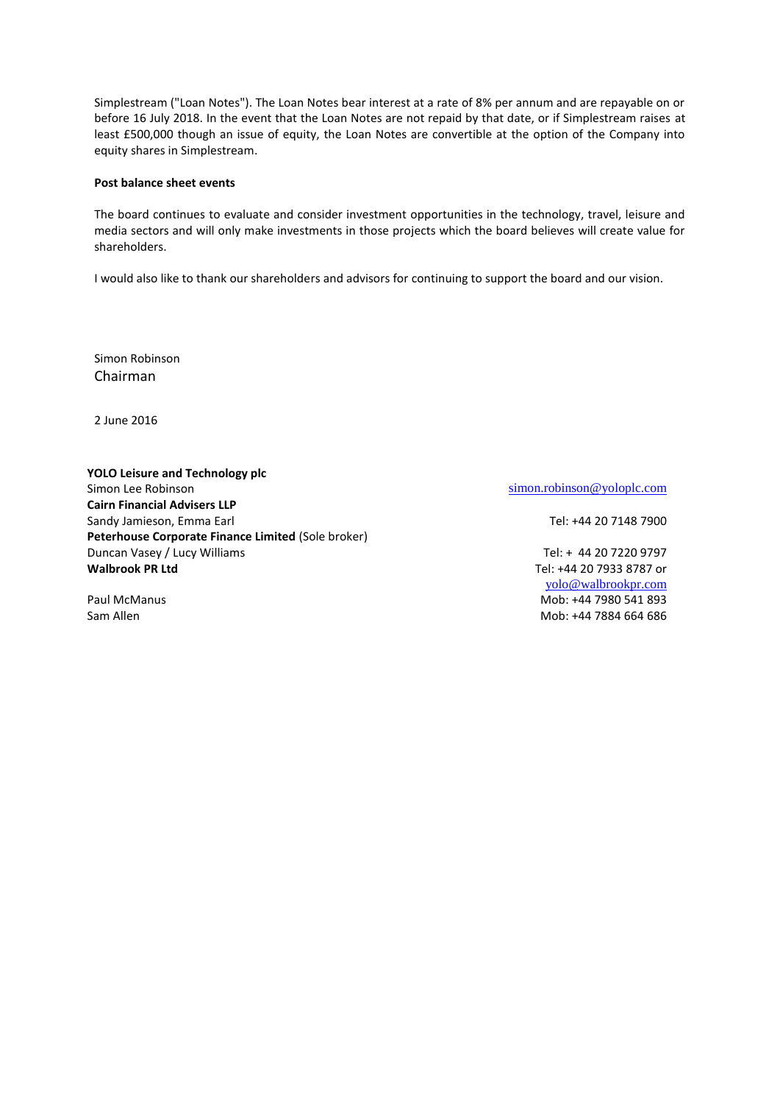Simplestream ("Loan Notes"). The Loan Notes bear interest at a rate of 8% per annum and are repayable on or before 16 July 2018. In the event that the Loan Notes are not repaid by that date, or if Simplestream raises at least £500,000 though an issue of equity, the Loan Notes are convertible at the option of the Company into equity shares in Simplestream.

#### **Post balance sheet events**

The board continues to evaluate and consider investment opportunities in the technology, travel, leisure and media sectors and will only make investments in those projects which the board believes will create value for shareholders.

I would also like to thank our shareholders and advisors for continuing to support the board and our vision.

Simon Robinson Chairman

2 June 2016

### **YOLO Leisure and Technology plc** Simon Lee Robinson simon.robinson @yoloplc.com **Cairn Financial Advisers LLP** Sandy Jamieson, Emma Earl Tel: +44 20 7148 7900 **Peterhouse Corporate Finance Limited** (Sole broker) Duncan Vasey / Lucy Williams Tel: + 44 20 7220 9797 **Walbrook PR Ltd** Tel: +44 20 7933 8787 or

[yolo@walbrookpr.com](mailto:yolo@walbrookpr.com) Paul McManus **Mob: +44 7980 541 893** Sam Allen Mob: +44 7884 664 686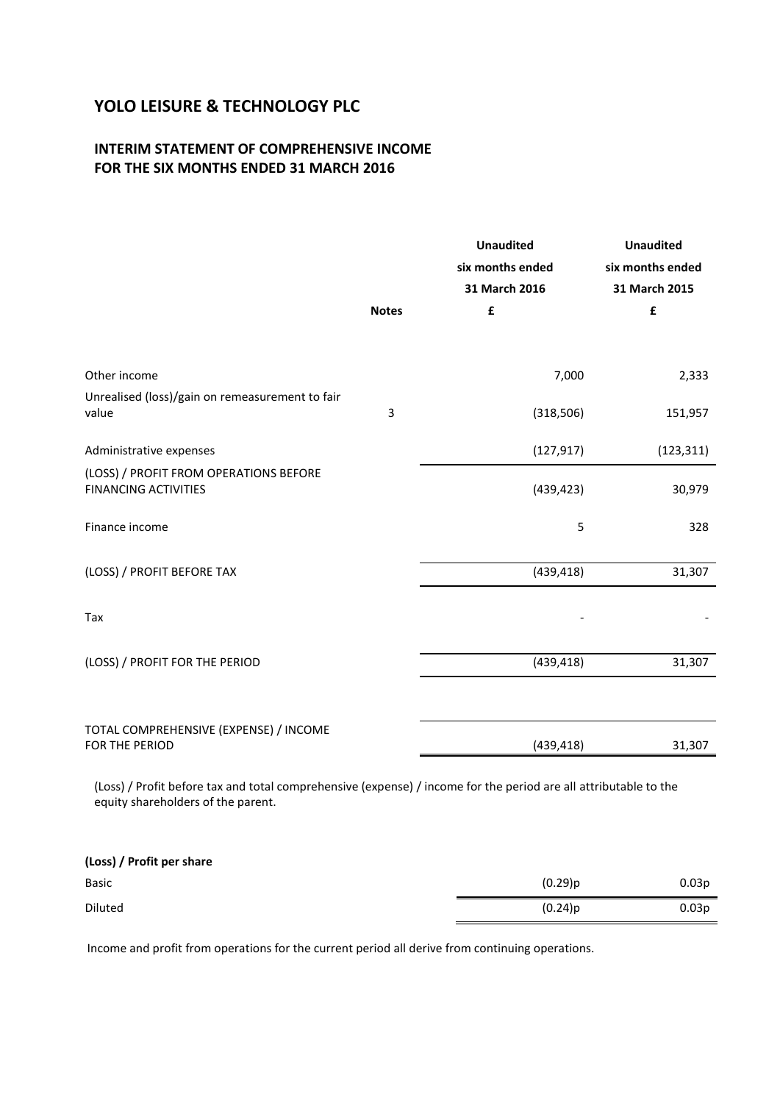## **INTERIM STATEMENT OF COMPREHENSIVE INCOME FOR THE SIX MONTHS ENDED 31 MARCH 2016**

|                                                                                                                                                        | <b>Notes</b> | <b>Unaudited</b><br>six months ended<br>31 March 2016<br>£ | <b>Unaudited</b><br>six months ended<br>31 March 2015<br>£ |
|--------------------------------------------------------------------------------------------------------------------------------------------------------|--------------|------------------------------------------------------------|------------------------------------------------------------|
| Other income                                                                                                                                           |              | 7,000                                                      | 2,333                                                      |
| Unrealised (loss)/gain on remeasurement to fair<br>value                                                                                               | 3            | (318, 506)                                                 | 151,957                                                    |
| Administrative expenses                                                                                                                                |              | (127, 917)                                                 | (123, 311)                                                 |
| (LOSS) / PROFIT FROM OPERATIONS BEFORE<br><b>FINANCING ACTIVITIES</b>                                                                                  |              | (439, 423)                                                 | 30,979                                                     |
| Finance income                                                                                                                                         |              | 5                                                          | 328                                                        |
| (LOSS) / PROFIT BEFORE TAX                                                                                                                             |              | (439, 418)                                                 | 31,307                                                     |
| Tax                                                                                                                                                    |              |                                                            |                                                            |
| (LOSS) / PROFIT FOR THE PERIOD                                                                                                                         |              | (439, 418)                                                 | 31,307                                                     |
|                                                                                                                                                        |              |                                                            |                                                            |
| TOTAL COMPREHENSIVE (EXPENSE) / INCOME<br>FOR THE PERIOD                                                                                               |              | (439, 418)                                                 | 31,307                                                     |
| (Loss) / Profit before tax and total comprehensive (expense) / income for the period are all attributable to the<br>equity shareholders of the parent. |              |                                                            |                                                            |

| (Loss) / Profit per share |         |                   |
|---------------------------|---------|-------------------|
| Basic                     | (0.29)p | 0.03 <sub>p</sub> |
| Diluted                   | (0.24)p | 0.03 <sub>p</sub> |

Income and profit from operations for the current period all derive from continuing operations.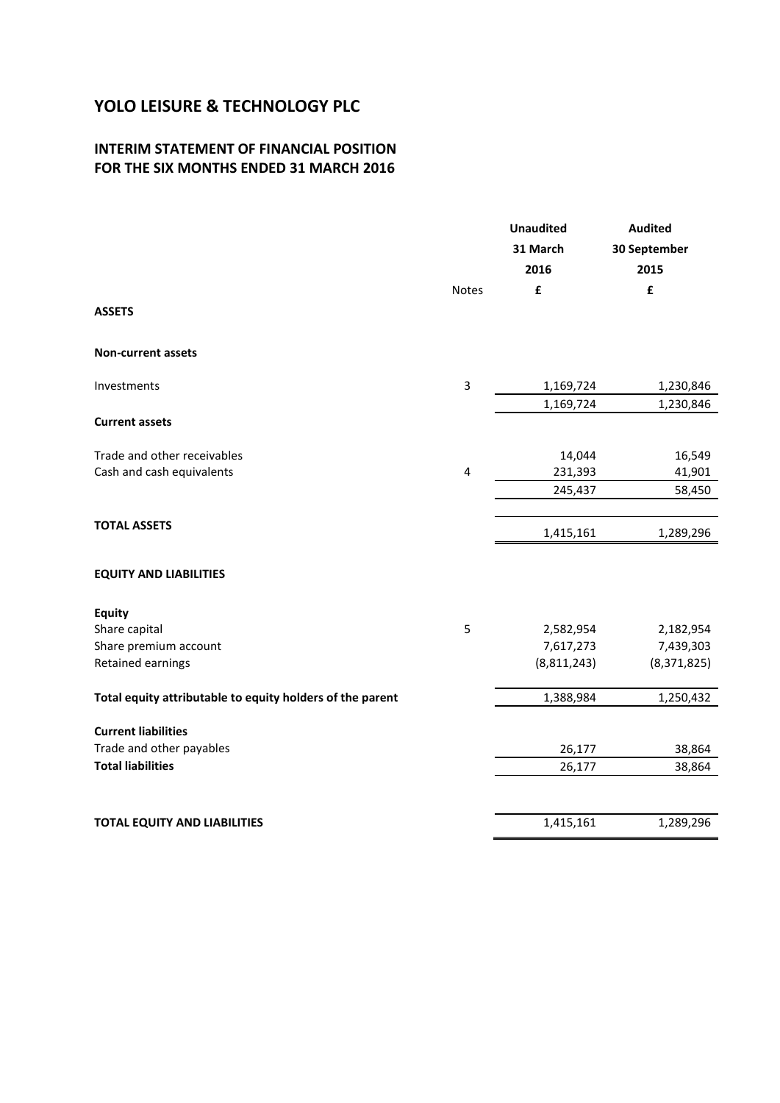### **INTERIM STATEMENT OF FINANCIAL POSITION FOR THE SIX MONTHS ENDED 31 MARCH 2016**

|                                                           |              | <b>Unaudited</b><br>31 March<br>2016 | <b>Audited</b><br>30 September<br>2015 |
|-----------------------------------------------------------|--------------|--------------------------------------|----------------------------------------|
|                                                           | <b>Notes</b> | £                                    | £                                      |
| <b>ASSETS</b>                                             |              |                                      |                                        |
| <b>Non-current assets</b>                                 |              |                                      |                                        |
| Investments                                               | 3            | 1,169,724                            | 1,230,846                              |
| <b>Current assets</b>                                     |              | 1,169,724                            | 1,230,846                              |
| Trade and other receivables                               |              | 14,044                               | 16,549                                 |
| Cash and cash equivalents                                 | 4            | 231,393                              | 41,901                                 |
|                                                           |              | 245,437                              | 58,450                                 |
| <b>TOTAL ASSETS</b>                                       |              | 1,415,161                            | 1,289,296                              |
| <b>EQUITY AND LIABILITIES</b>                             |              |                                      |                                        |
| <b>Equity</b>                                             |              |                                      |                                        |
| Share capital                                             | 5            | 2,582,954                            | 2,182,954                              |
| Share premium account                                     |              | 7,617,273                            | 7,439,303                              |
| Retained earnings                                         |              | (8,811,243)                          | (8,371,825)                            |
| Total equity attributable to equity holders of the parent |              | 1,388,984                            | 1,250,432                              |
| <b>Current liabilities</b>                                |              |                                      |                                        |
| Trade and other payables                                  |              | 26,177                               | 38,864                                 |
| <b>Total liabilities</b>                                  |              | 26,177                               | 38,864                                 |
|                                                           |              |                                      |                                        |
| <b>TOTAL EQUITY AND LIABILITIES</b>                       |              | 1,415,161                            | 1,289,296                              |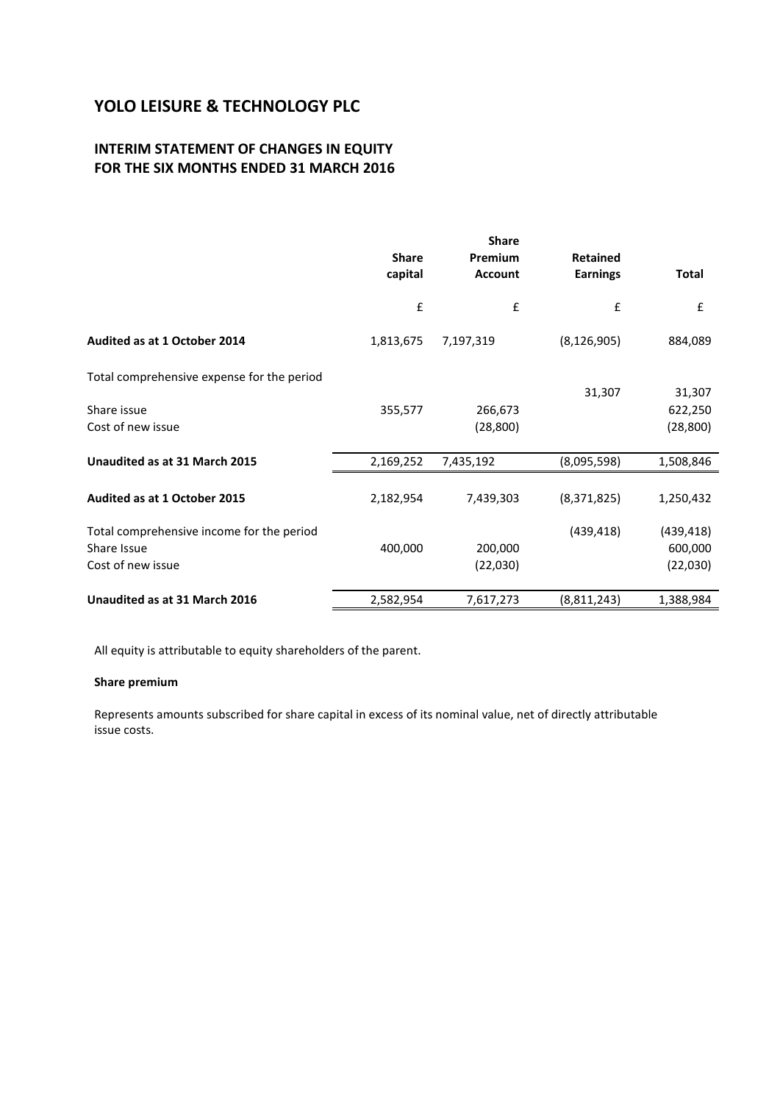## **INTERIM STATEMENT OF CHANGES IN EQUITY FOR THE SIX MONTHS ENDED 31 MARCH 2016**

|                                            | <b>Share</b><br>capital | <b>Share</b><br>Premium<br><b>Account</b> | <b>Retained</b><br><b>Earnings</b> | <b>Total</b> |
|--------------------------------------------|-------------------------|-------------------------------------------|------------------------------------|--------------|
|                                            | £                       | £                                         | £                                  | £            |
| Audited as at 1 October 2014               | 1,813,675               | 7,197,319                                 | (8, 126, 905)                      | 884,089      |
| Total comprehensive expense for the period |                         |                                           |                                    |              |
|                                            |                         |                                           | 31,307                             | 31,307       |
| Share issue                                | 355,577                 | 266,673                                   |                                    | 622,250      |
| Cost of new issue                          |                         | (28, 800)                                 |                                    | (28, 800)    |
| Unaudited as at 31 March 2015              | 2,169,252               | 7,435,192                                 | (8,095,598)                        | 1,508,846    |
| <b>Audited as at 1 October 2015</b>        | 2,182,954               | 7,439,303                                 | (8,371,825)                        | 1,250,432    |
| Total comprehensive income for the period  |                         |                                           | (439, 418)                         | (439, 418)   |
| Share Issue                                | 400,000                 | 200,000                                   |                                    | 600,000      |
| Cost of new issue                          |                         | (22,030)                                  |                                    | (22,030)     |
| Unaudited as at 31 March 2016              | 2,582,954               | 7,617,273                                 | (8,811,243)                        | 1,388,984    |

All equity is attributable to equity shareholders of the parent.

### **Share premium**

Represents amounts subscribed for share capital in excess of its nominal value, net of directly attributable issue costs.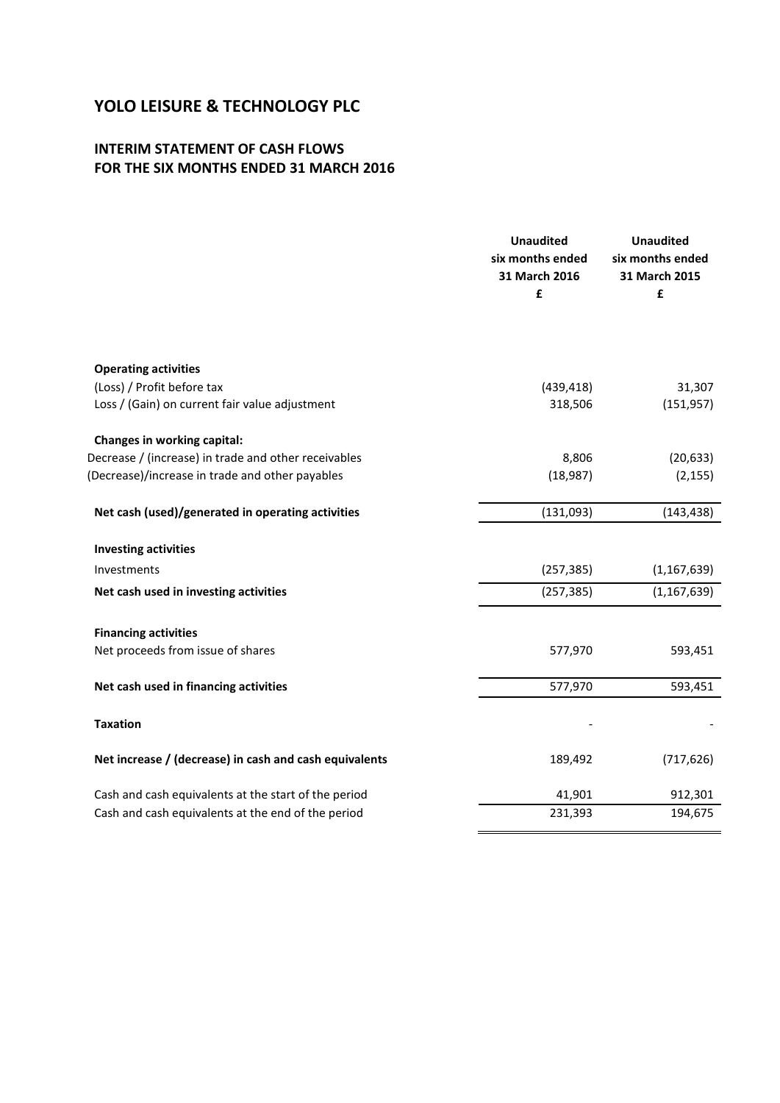## **INTERIM STATEMENT OF CASH FLOWS FOR THE SIX MONTHS ENDED 31 MARCH 2016**

|                                                        | <b>Unaudited</b><br>six months ended<br>31 March 2016<br>£ | <b>Unaudited</b><br>six months ended<br>31 March 2015<br>£ |
|--------------------------------------------------------|------------------------------------------------------------|------------------------------------------------------------|
|                                                        |                                                            |                                                            |
| <b>Operating activities</b>                            |                                                            |                                                            |
| (Loss) / Profit before tax                             | (439, 418)                                                 | 31,307                                                     |
| Loss / (Gain) on current fair value adjustment         | 318,506                                                    | (151, 957)                                                 |
| Changes in working capital:                            |                                                            |                                                            |
| Decrease / (increase) in trade and other receivables   | 8,806                                                      | (20, 633)                                                  |
| (Decrease)/increase in trade and other payables        | (18, 987)                                                  | (2, 155)                                                   |
| Net cash (used)/generated in operating activities      | (131,093)                                                  | (143, 438)                                                 |
| <b>Investing activities</b>                            |                                                            |                                                            |
| Investments                                            | (257, 385)                                                 | (1, 167, 639)                                              |
| Net cash used in investing activities                  | (257, 385)                                                 | (1, 167, 639)                                              |
| <b>Financing activities</b>                            |                                                            |                                                            |
| Net proceeds from issue of shares                      | 577,970                                                    | 593,451                                                    |
| Net cash used in financing activities                  | 577,970                                                    | 593,451                                                    |
|                                                        |                                                            |                                                            |
| <b>Taxation</b>                                        |                                                            |                                                            |
| Net increase / (decrease) in cash and cash equivalents | 189,492                                                    | (717, 626)                                                 |
| Cash and cash equivalents at the start of the period   | 41,901                                                     | 912,301                                                    |
| Cash and cash equivalents at the end of the period     | 231,393                                                    | 194,675                                                    |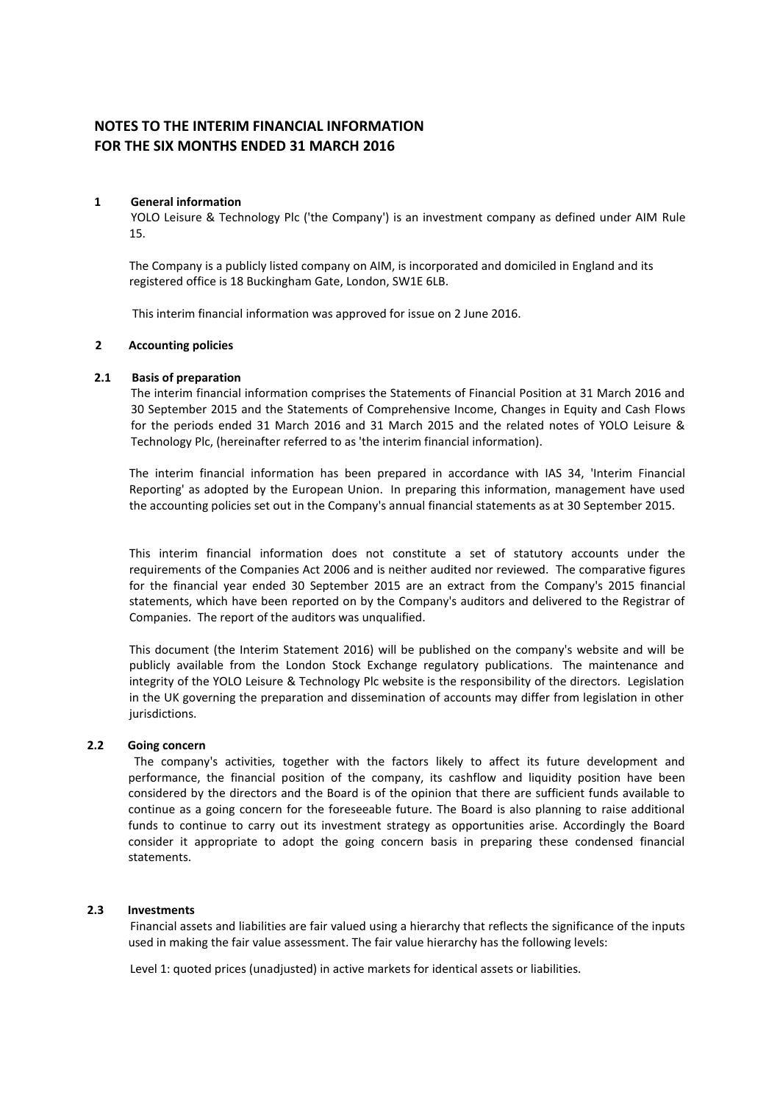## **NOTES TO THE INTERIM FINANCIAL INFORMATION FOR THE SIX MONTHS ENDED 31 MARCH 2016**

### **1 General information**

YOLO Leisure & Technology Plc ('the Company') is an investment company as defined under AIM Rule 15.

The Company is a publicly listed company on AIM, is incorporated and domiciled in England and its registered office is 18 Buckingham Gate, London, SW1E 6LB.

This interim financial information was approved for issue on 2 June 2016.

### **2 Accounting policies**

### **2.1 Basis of preparation**

The interim financial information comprises the Statements of Financial Position at 31 March 2016 and 30 September 2015 and the Statements of Comprehensive Income, Changes in Equity and Cash Flows for the periods ended 31 March 2016 and 31 March 2015 and the related notes of YOLO Leisure & Technology Plc, (hereinafter referred to as 'the interim financial information).

The interim financial information has been prepared in accordance with IAS 34, 'Interim Financial Reporting' as adopted by the European Union. In preparing this information, management have used the accounting policies set out in the Company's annual financial statements as at 30 September 2015.

This interim financial information does not constitute a set of statutory accounts under the requirements of the Companies Act 2006 and is neither audited nor reviewed. The comparative figures for the financial year ended 30 September 2015 are an extract from the Company's 2015 financial statements, which have been reported on by the Company's auditors and delivered to the Registrar of Companies. The report of the auditors was unqualified.

This document (the Interim Statement 2016) will be published on the company's website and will be publicly available from the London Stock Exchange regulatory publications. The maintenance and integrity of the YOLO Leisure & Technology Plc website is the responsibility of the directors. Legislation in the UK governing the preparation and dissemination of accounts may differ from legislation in other jurisdictions.

#### **2.2 Going concern**

The company's activities, together with the factors likely to affect its future development and performance, the financial position of the company, its cashflow and liquidity position have been considered by the directors and the Board is of the opinion that there are sufficient funds available to continue as a going concern for the foreseeable future. The Board is also planning to raise additional funds to continue to carry out its investment strategy as opportunities arise. Accordingly the Board consider it appropriate to adopt the going concern basis in preparing these condensed financial statements.

### **2.3 Investments**

Financial assets and liabilities are fair valued using a hierarchy that reflects the significance of the inputs used in making the fair value assessment. The fair value hierarchy has the following levels:

Level 1: quoted prices (unadjusted) in active markets for identical assets or liabilities.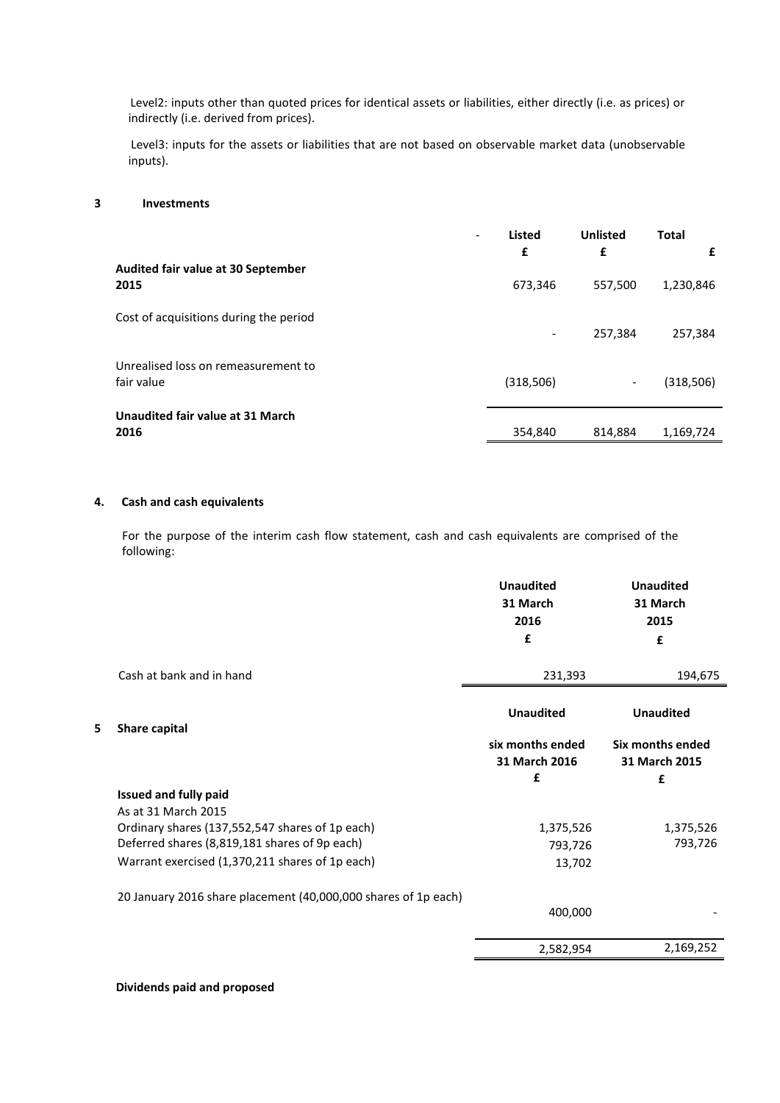Level2: inputs other than quoted prices for identical assets or liabilities, either directly (i.e. as prices) or indirectly (i.e. derived from prices).

Level3: inputs for the assets or liabilities that are not based on observable market data (unobservable inputs).

#### **3 Investments**

| $\overline{\phantom{a}}$                          | <b>Listed</b><br>£ | <b>Unlisted</b><br>£ | <b>Total</b><br>£ |
|---------------------------------------------------|--------------------|----------------------|-------------------|
| Audited fair value at 30 September<br>2015        | 673,346            | 557,500              | 1,230,846         |
| Cost of acquisitions during the period            | ٠                  | 257,384              | 257,384           |
| Unrealised loss on remeasurement to<br>fair value | (318,506)          | -                    | (318,506)         |
| Unaudited fair value at 31 March<br>2016          | 354,840            | 814,884              | 1,169,724         |

### **4. Cash and cash equivalents**

For the purpose of the interim cash flow statement, cash and cash equivalents are comprised of the following:

|   |                                                                | <b>Unaudited</b><br>31 March<br>2016 | <b>Unaudited</b><br>31 March<br>2015 |
|---|----------------------------------------------------------------|--------------------------------------|--------------------------------------|
|   |                                                                | £                                    | £                                    |
|   | Cash at bank and in hand                                       | 231,393                              | 194,675                              |
|   |                                                                | <b>Unaudited</b>                     | <b>Unaudited</b>                     |
| 5 | Share capital                                                  | six months ended<br>31 March 2016    | Six months ended<br>31 March 2015    |
|   |                                                                | £                                    | £                                    |
|   | <b>Issued and fully paid</b><br>As at 31 March 2015            |                                      |                                      |
|   | Ordinary shares (137,552,547 shares of 1p each)                | 1,375,526                            | 1,375,526                            |
|   | Deferred shares (8,819,181 shares of 9p each)                  | 793,726                              | 793,726                              |
|   | Warrant exercised (1,370,211 shares of 1p each)                | 13,702                               |                                      |
|   | 20 January 2016 share placement (40,000,000 shares of 1p each) |                                      |                                      |
|   |                                                                | 400,000                              |                                      |
|   |                                                                | 2,582,954                            | 2,169,252                            |

**Dividends paid and proposed**